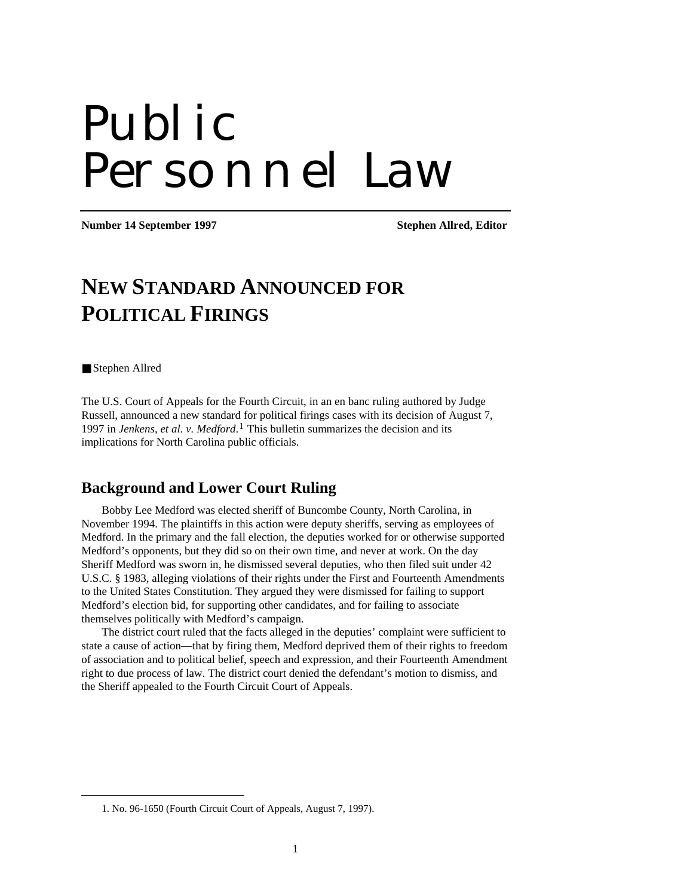# Public Personnel Law

**Number 14 September 1997** Stephen Allred, Editor

# **NEW STANDARD ANNOUNCED FOR POLITICAL FIRINGS**

Stephen Allred

<span id="page-0-0"></span> $\overline{a}$ 

The U.S. Court of Appeals for the Fourth Circuit, in an en banc ruling authored by Judge Russell, announced a new standard for political firings cases with its decision of August 7, 1997 in *Jenkens, et al. v. Medford*.[1](#page-0-0) This bulletin summarizes the decision and its implications for North Carolina public officials.

#### **Background and Lower Court Ruling**

Bobby Lee Medford was elected sheriff of Buncombe County, North Carolina, in November 1994. The plaintiffs in this action were deputy sheriffs, serving as employees of Medford. In the primary and the fall election, the deputies worked for or otherwise supported Medford's opponents, but they did so on their own time, and never at work. On the day Sheriff Medford was sworn in, he dismissed several deputies, who then filed suit under 42 U.S.C. § 1983, alleging violations of their rights under the First and Fourteenth Amendments to the United States Constitution. They argued they were dismissed for failing to support Medford's election bid, for supporting other candidates, and for failing to associate themselves politically with Medford's campaign.

The district court ruled that the facts alleged in the deputies' complaint were sufficient to state a cause of action—that by firing them, Medford deprived them of their rights to freedom of association and to political belief, speech and expression, and their Fourteenth Amendment right to due process of law. The district court denied the defendant's motion to dismiss, and the Sheriff appealed to the Fourth Circuit Court of Appeals.

<sup>1.</sup> No. 96-1650 (Fourth Circuit Court of Appeals, August 7, 1997).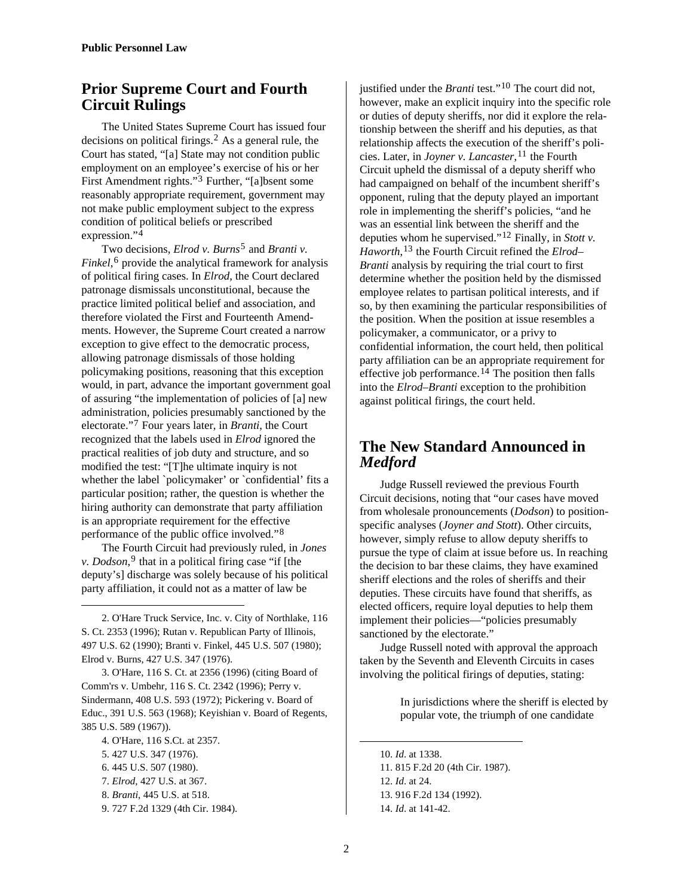## **Prior Supreme Court and Fourth Circuit Rulings**

The United States Supreme Court has issued four decisions on political firings.<sup>[2](#page-1-0)</sup> As a general rule, the Court has stated, "[a] State may not condition public employment on an employee's exercise of his or her First Amendment rights."[3](#page-1-1) Further, "[a]bsent some reasonably appropriate requirement, government may not make public employment subject to the express condition of political beliefs or prescribed expression."[4](#page-1-2)

Two decisions, *Elrod v. Burns*[5](#page-1-3) and *Branti v. Finkel*,<sup>[6](#page-1-4)</sup> provide the analytical framework for analysis of political firing cases. In *Elrod*, the Court declared patronage dismissals unconstitutional, because the practice limited political belief and association, and therefore violated the First and Fourteenth Amendments. However, the Supreme Court created a narrow exception to give effect to the democratic process, allowing patronage dismissals of those holding policymaking positions, reasoning that this exception would, in part, advance the important government goal of assuring "the implementation of policies of [a] new administration, policies presumably sanctioned by the electorate."[7](#page-1-5) Four years later, in *Branti*, the Court recognized that the labels used in *Elrod* ignored the practical realities of job duty and structure, and so modified the test: "[T]he ultimate inquiry is not whether the label `policymaker' or `confidential' fits a particular position; rather, the question is whether the hiring authority can demonstrate that party affiliation is an appropriate requirement for the effective performance of the public office involved."[8](#page-1-6)

The Fourth Circuit had previously ruled, in *Jones v. Dodson*,  $9$  that in a political firing case "if [the deputy's] discharge was solely because of his political party affiliation, it could not as a matter of law be

<span id="page-1-0"></span>2. O'Hare Truck Service, Inc. v. City of Northlake, 116 S. Ct. 2353 (1996); Rutan v. Republican Party of Illinois, 497 U.S. 62 (1990); Branti v. Finkel, 445 U.S. 507 (1980); Elrod v. Burns, 427 U.S. 347 (1976).

<span id="page-1-1"></span>3. O'Hare, 116 S. Ct. at 2356 (1996) (citing Board of Comm'rs v. Umbehr, 116 S. Ct. 2342 (1996); Perry v. Sindermann, 408 U.S. 593 (1972); Pickering v. Board of Educ., 391 U.S. 563 (1968); Keyishian v. Board of Regents, 385 U.S. 589 (1967)).

<span id="page-1-3"></span><span id="page-1-2"></span>4. O'Hare, 116 S.Ct. at 2357. 5. 427 U.S. 347 (1976).

<span id="page-1-4"></span>6. 445 U.S. 507 (1980).

 $\overline{a}$ 

- <span id="page-1-5"></span>7. *Elrod*, 427 U.S. at 367.
- <span id="page-1-7"></span><span id="page-1-6"></span>8. *Branti*, 445 U.S. at 518.

9. 727 F.2d 1329 (4th Cir. 1984).

justified under the *Branti* test."[10](#page-1-3) The court did not, however, make an explicit inquiry into the specific role or duties of deputy sheriffs, nor did it explore the relationship between the sheriff and his deputies, as that relationship affects the execution of the sheriff's policies. Later, in *Joyner v. Lancaster*, <sup>[11](#page-1-4)</sup> the Fourth Circuit upheld the dismissal of a deputy sheriff who had campaigned on behalf of the incumbent sheriff's opponent, ruling that the deputy played an important role in implementing the sheriff's policies, "and he was an essential link between the sheriff and the deputies whom he supervised."[12](#page-1-5) Finally, in *Stott v. Haworth*,[13](#page-1-6) the Fourth Circuit refined the *Elrod– Branti* analysis by requiring the trial court to first determine whether the position held by the dismissed employee relates to partisan political interests, and if so, by then examining the particular responsibilities of the position. When the position at issue resembles a policymaker, a communicator, or a privy to confidential information, the court held, then political party affiliation can be an appropriate requirement for effective job performance.<sup>[14](#page-1-7)</sup> The position then falls into the *Elrod–Branti* exception to the prohibition against political firings, the court held.

## **The New Standard Announced in**  *Medford*

Judge Russell reviewed the previous Fourth Circuit decisions, noting that "our cases have moved from wholesale pronouncements (*Dodson*) to positionspecific analyses (*Joyner and Stott*). Other circuits, however, simply refuse to allow deputy sheriffs to pursue the type of claim at issue before us. In reaching the decision to bar these claims, they have examined sheriff elections and the roles of sheriffs and their deputies. These circuits have found that sheriffs, as elected officers, require loyal deputies to help them implement their policies—"policies presumably sanctioned by the electorate."

Judge Russell noted with approval the approach taken by the Seventh and Eleventh Circuits in cases involving the political firings of deputies, stating:

> In jurisdictions where the sheriff is elected by popular vote, the triumph of one candidate

10. *Id*. at 1338. 11. 815 F.2d 20 (4th Cir. 1987). 12. *Id*. at 24. 13. 916 F.2d 134 (1992). 14. *Id*. at 141-42.

1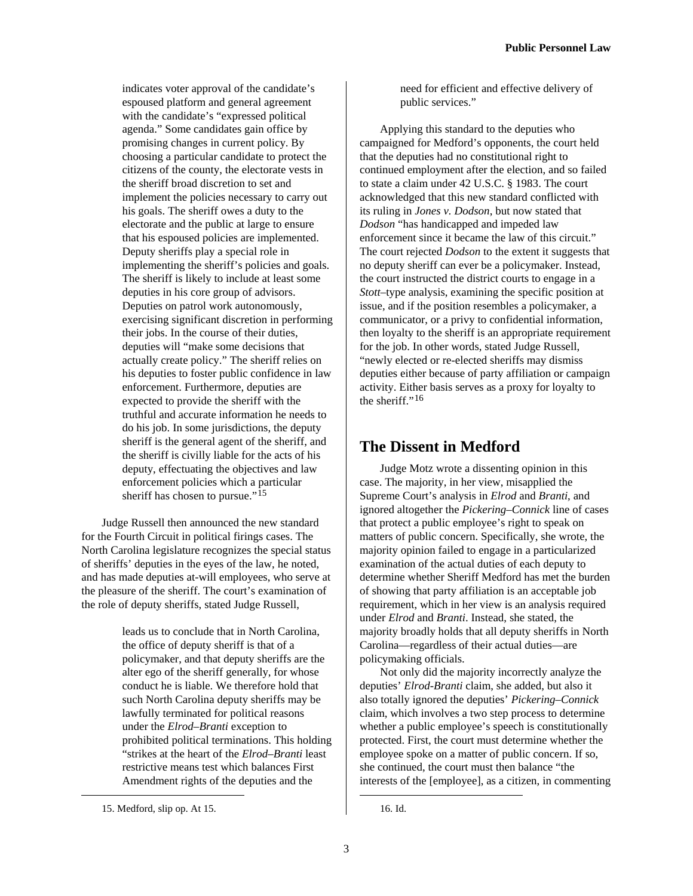indicates voter approval of the candidate's espoused platform and general agreement with the candidate's "expressed political agenda." Some candidates gain office by promising changes in current policy. By choosing a particular candidate to protect the citizens of the county, the electorate vests in the sheriff broad discretion to set and implement the policies necessary to carry out his goals. The sheriff owes a duty to the electorate and the public at large to ensure that his espoused policies are implemented. Deputy sheriffs play a special role in implementing the sheriff's policies and goals. The sheriff is likely to include at least some deputies in his core group of advisors. Deputies on patrol work autonomously, exercising significant discretion in performing their jobs. In the course of their duties, deputies will "make some decisions that actually create policy." The sheriff relies on his deputies to foster public confidence in law enforcement. Furthermore, deputies are expected to provide the sheriff with the truthful and accurate information he needs to do his job. In some jurisdictions, the deputy sheriff is the general agent of the sheriff, and the sheriff is civilly liable for the acts of his deputy, effectuating the objectives and law enforcement policies which a particular sheriff has chosen to pursue."<sup>[15](#page-2-0)</sup>

Judge Russell then announced the new standard for the Fourth Circuit in political firings cases. The North Carolina legislature recognizes the special status of sheriffs' deputies in the eyes of the law, he noted, and has made deputies at-will employees, who serve at the pleasure of the sheriff. The court's examination of the role of deputy sheriffs, stated Judge Russell,

> leads us to conclude that in North Carolina, the office of deputy sheriff is that of a policymaker, and that deputy sheriffs are the alter ego of the sheriff generally, for whose conduct he is liable. We therefore hold that such North Carolina deputy sheriffs may be lawfully terminated for political reasons under the *Elrod–Branti* exception to prohibited political terminations. This holding "strikes at the heart of the *Elrod–Branti* least restrictive means test which balances First Amendment rights of the deputies and the

need for efficient and effective delivery of public services."

Applying this standard to the deputies who campaigned for Medford's opponents, the court held that the deputies had no constitutional right to continued employment after the election, and so failed to state a claim under 42 U.S.C. § 1983. The court acknowledged that this new standard conflicted with its ruling in *Jones v. Dodson*, but now stated that *Dodson* "has handicapped and impeded law enforcement since it became the law of this circuit." The court rejected *Dodson* to the extent it suggests that no deputy sheriff can ever be a policymaker. Instead, the court instructed the district courts to engage in a *Stott*–type analysis, examining the specific position at issue, and if the position resembles a policymaker, a communicator, or a privy to confidential information, then loyalty to the sheriff is an appropriate requirement for the job. In other words, stated Judge Russell, "newly elected or re-elected sheriffs may dismiss deputies either because of party affiliation or campaign activity. Either basis serves as a proxy for loyalty to the sheriff."[16](#page-2-0)

#### **The Dissent in Medford**

Judge Motz wrote a dissenting opinion in this case. The majority, in her view, misapplied the Supreme Court's analysis in *Elrod* and *Branti*, and ignored altogether the *Pickering–Connick* line of cases that protect a public employee's right to speak on matters of public concern. Specifically, she wrote, the majority opinion failed to engage in a particularized examination of the actual duties of each deputy to determine whether Sheriff Medford has met the burden of showing that party affiliation is an acceptable job requirement, which in her view is an analysis required under *Elrod* and *Branti*. Instead, she stated, the majority broadly holds that all deputy sheriffs in North Carolina—regardless of their actual duties—are policymaking officials.

Not only did the majority incorrectly analyze the deputies' *Elrod-Branti* claim, she added, but also it also totally ignored the deputies' *Pickering–Connick* claim, which involves a two step process to determine whether a public employee's speech is constitutionally protected. First, the court must determine whether the employee spoke on a matter of public concern. If so, she continued, the court must then balance "the interests of the [employee], as a citizen, in commenting

<span id="page-2-0"></span> $\overline{a}$ 

16. Id.

<sup>15.</sup> Medford, slip op. At 15.